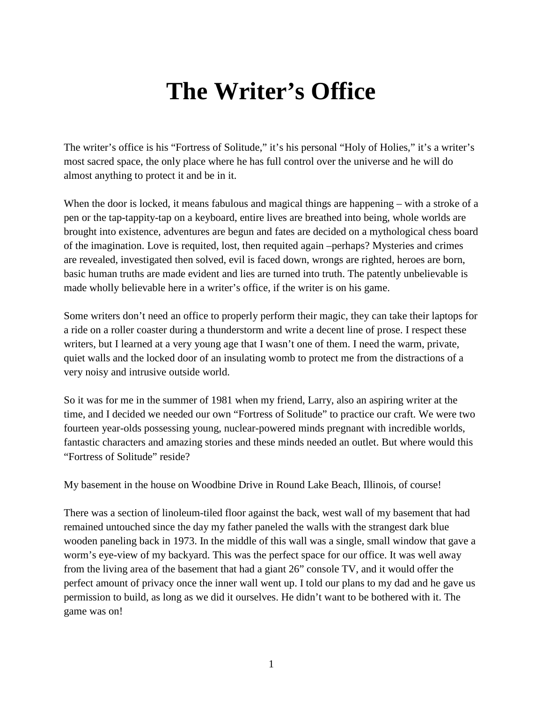## **The Writer's Office**

The writer's office is his "Fortress of Solitude," it's his personal "Holy of Holies," it's a writer's most sacred space, the only place where he has full control over the universe and he will do almost anything to protect it and be in it.

When the door is locked, it means fabulous and magical things are happening – with a stroke of a pen or the tap-tappity-tap on a keyboard, entire lives are breathed into being, whole worlds are brought into existence, adventures are begun and fates are decided on a mythological chess board of the imagination. Love is requited, lost, then requited again –perhaps? Mysteries and crimes are revealed, investigated then solved, evil is faced down, wrongs are righted, heroes are born, basic human truths are made evident and lies are turned into truth. The patently unbelievable is made wholly believable here in a writer's office, if the writer is on his game.

Some writers don't need an office to properly perform their magic, they can take their laptops for a ride on a roller coaster during a thunderstorm and write a decent line of prose. I respect these writers, but I learned at a very young age that I wasn't one of them. I need the warm, private, quiet walls and the locked door of an insulating womb to protect me from the distractions of a very noisy and intrusive outside world.

So it was for me in the summer of 1981 when my friend, Larry, also an aspiring writer at the time, and I decided we needed our own "Fortress of Solitude" to practice our craft. We were two fourteen year-olds possessing young, nuclear-powered minds pregnant with incredible worlds, fantastic characters and amazing stories and these minds needed an outlet. But where would this "Fortress of Solitude" reside?

My basement in the house on Woodbine Drive in Round Lake Beach, Illinois, of course!

There was a section of linoleum-tiled floor against the back, west wall of my basement that had remained untouched since the day my father paneled the walls with the strangest dark blue wooden paneling back in 1973. In the middle of this wall was a single, small window that gave a worm's eye-view of my backyard. This was the perfect space for our office. It was well away from the living area of the basement that had a giant 26" console TV, and it would offer the perfect amount of privacy once the inner wall went up. I told our plans to my dad and he gave us permission to build, as long as we did it ourselves. He didn't want to be bothered with it. The game was on!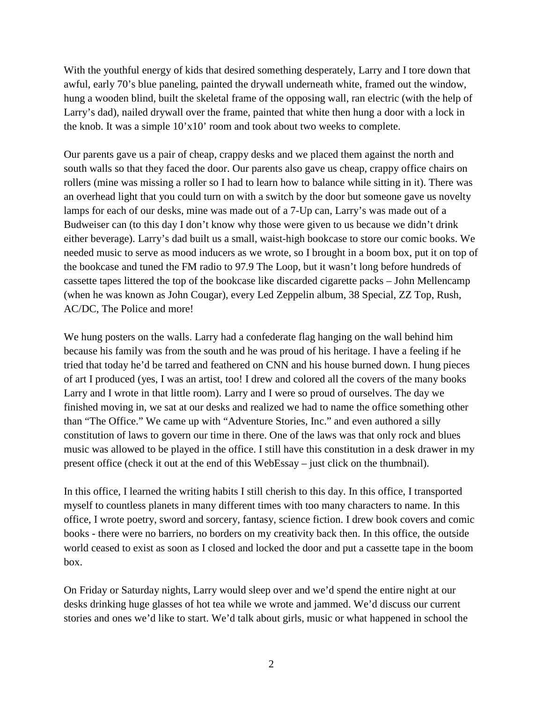With the youthful energy of kids that desired something desperately, Larry and I tore down that awful, early 70's blue paneling, painted the drywall underneath white, framed out the window, hung a wooden blind, built the skeletal frame of the opposing wall, ran electric (with the help of Larry's dad), nailed drywall over the frame, painted that white then hung a door with a lock in the knob. It was a simple 10'x10' room and took about two weeks to complete.

Our parents gave us a pair of cheap, crappy desks and we placed them against the north and south walls so that they faced the door. Our parents also gave us cheap, crappy office chairs on rollers (mine was missing a roller so I had to learn how to balance while sitting in it). There was an overhead light that you could turn on with a switch by the door but someone gave us novelty lamps for each of our desks, mine was made out of a 7-Up can, Larry's was made out of a Budweiser can (to this day I don't know why those were given to us because we didn't drink either beverage). Larry's dad built us a small, waist-high bookcase to store our comic books. We needed music to serve as mood inducers as we wrote, so I brought in a boom box, put it on top of the bookcase and tuned the FM radio to 97.9 The Loop, but it wasn't long before hundreds of cassette tapes littered the top of the bookcase like discarded cigarette packs – John Mellencamp (when he was known as John Cougar), every Led Zeppelin album, 38 Special, ZZ Top, Rush, AC/DC, The Police and more!

We hung posters on the walls. Larry had a confederate flag hanging on the wall behind him because his family was from the south and he was proud of his heritage. I have a feeling if he tried that today he'd be tarred and feathered on CNN and his house burned down. I hung pieces of art I produced (yes, I was an artist, too! I drew and colored all the covers of the many books Larry and I wrote in that little room). Larry and I were so proud of ourselves. The day we finished moving in, we sat at our desks and realized we had to name the office something other than "The Office." We came up with "Adventure Stories, Inc." and even authored a silly constitution of laws to govern our time in there. One of the laws was that only rock and blues music was allowed to be played in the office. I still have this constitution in a desk drawer in my present office (check it out at the end of this WebEssay – just click on the thumbnail).

In this office, I learned the writing habits I still cherish to this day. In this office, I transported myself to countless planets in many different times with too many characters to name. In this office, I wrote poetry, sword and sorcery, fantasy, science fiction. I drew book covers and comic books - there were no barriers, no borders on my creativity back then. In this office, the outside world ceased to exist as soon as I closed and locked the door and put a cassette tape in the boom box.

On Friday or Saturday nights, Larry would sleep over and we'd spend the entire night at our desks drinking huge glasses of hot tea while we wrote and jammed. We'd discuss our current stories and ones we'd like to start. We'd talk about girls, music or what happened in school the